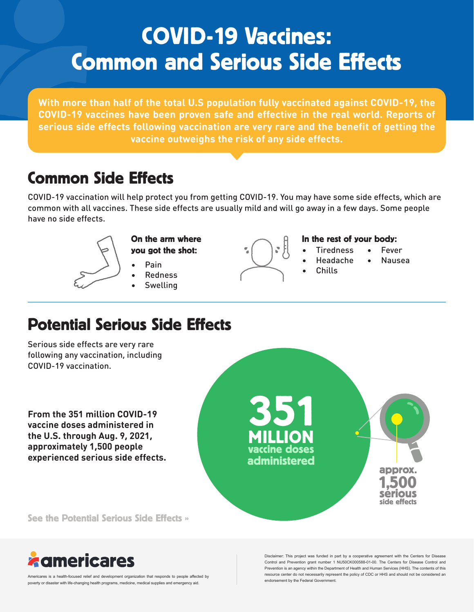# COVID-19 Vaccines: Common and Serious Side Effects

**With more than half of the total U.S population fully vaccinated against COVID-19, the COVID-19 vaccines have been proven safe and effective in the real world. Reports of serious side effects following vaccination are very rare and the benefit of getting the vaccine outweighs the risk of any side effects.**

## Common Side Effects

COVID-19 vaccination will help protect you from getting COVID-19. You may have some side effects, which are common with all vaccines. These side effects are usually mild and will go away in a few days. Some people have no side effects.



- On the arm where you got the shot:
	- Pain
	- Redness
	- **Swelling**

#### In the rest of your body:

- **Tiredness** 
	- Headache • Nausea

**Fever** 

• Chills

## Potential Serious Side Effects

Serious side effects are very rare following any vaccination, including COVID-19 vaccination.

**From the 351 million COVID-19 vaccine doses administered in the U.S. through Aug. 9, 2021, approximately 1,500 people experienced serious side effects.** 



See the Potential Serious Side Effects »



Americares is a health-focused relief and development organization that responds to people affected by poverty or disaster with life-changing health programs, medicine, medical supplies and emergency aid.

Disclaimer: This project was funded in part by a cooperative agreement with the Centers for Disease Control and Prevention grant number 1 NU50CK000588-01-00. The Centers for Disease Control and Prevention is an agency within the Department of Health and Human Services (HHS). The contents of this resource center do not necessarily represent the policy of CDC or HHS and should not be considered an endorsement by the Federal Government.